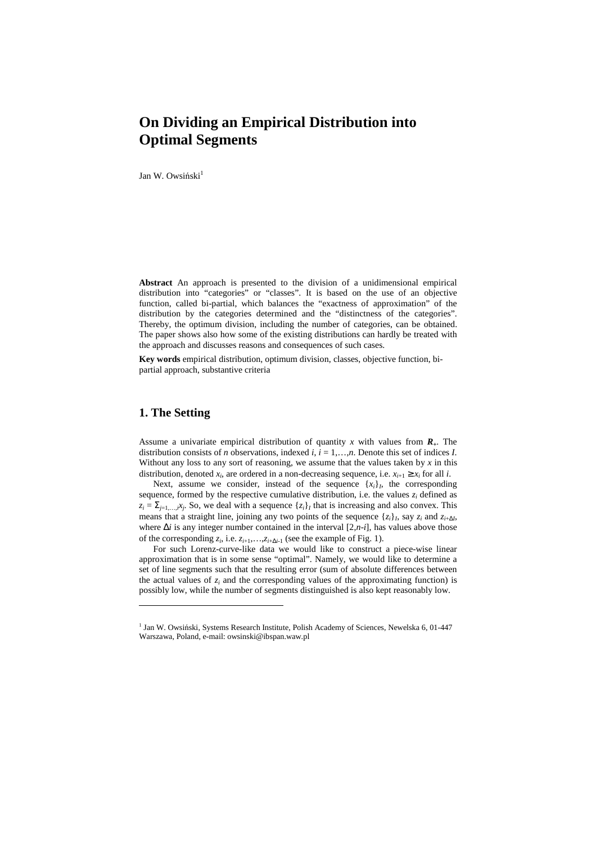Jan W. Owsiński<sup>1</sup>

**Abstract** An approach is presented to the division of a unidimensional empirical distribution into "categories" or "classes". It is based on the use of an objective function, called bi-partial, which balances the "exactness of approximation" of the distribution by the categories determined and the "distinctness of the categories". Thereby, the optimum division, including the number of categories, can be obtained. The paper shows also how some of the existing distributions can hardly be treated with the approach and discusses reasons and consequences of such cases.

**Key words** empirical distribution, optimum division, classes, objective function, bipartial approach, substantive criteria

# **1. The Setting**

 $\overline{a}$ 

Assume a univariate empirical distribution of quantity *x* with values from  $\mathbf{R}_{+}$ . The distribution consists of *n* observations, indexed  $i$ ,  $i = 1,...,n$ . Denote this set of indices *I*. Without any loss to any sort of reasoning, we assume that the values taken by  $x$  in this distribution, denoted  $x_i$ , are ordered in a non-decreasing sequence, i.e.  $x_{i+1} \ge x_i$  for all *i*.

Next, assume we consider, instead of the sequence  $\{x_i\}_i$ , the corresponding sequence, formed by the respective cumulative distribution, i.e. the values  $z_i$  defined as  $z_i = \sum_{j=1,...,i} x_j$ . So, we deal with a sequence  $\{z_i\}_I$  that is increasing and also convex. This means that a straight line, joining any two points of the sequence  $\{z_i\}_i$ , say  $z_i$  and  $z_{i+\Delta I}$ , where ∆*i* is any integer number contained in the interval [2,*n*-*i*], has values above those of the corresponding  $z_i$ , i.e.  $z_{i+1}, \ldots, z_{i+\Delta i-1}$  (see the example of Fig. 1).

For such Lorenz-curve-like data we would like to construct a piece-wise linear approximation that is in some sense "optimal". Namely, we would like to determine a set of line segments such that the resulting error (sum of absolute differences between the actual values of  $z_i$  and the corresponding values of the approximating function) is possibly low, while the number of segments distinguished is also kept reasonably low.

<sup>&</sup>lt;sup>1</sup> Jan W. Owsiński, Systems Research Institute, Polish Academy of Sciences, Newelska 6, 01-447 Warszawa, Poland, e-mail: owsinski@ibspan.waw.pl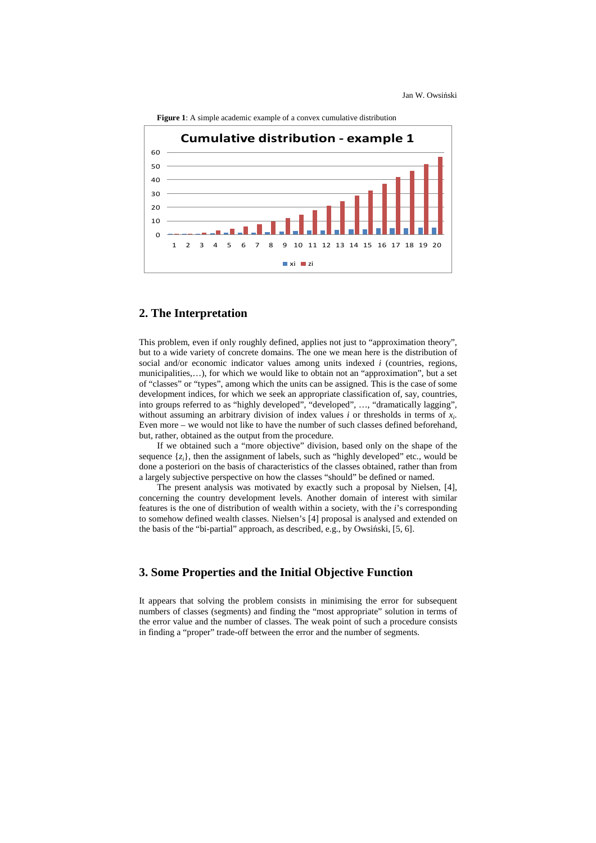Jan W. Owsiński



**Figure 1**: A simple academic example of a convex cumulative distribution

## **2. The Interpretation**

This problem, even if only roughly defined, applies not just to "approximation theory", but to a wide variety of concrete domains. The one we mean here is the distribution of social and/or economic indicator values among units indexed *i* (countries, regions, municipalities,…), for which we would like to obtain not an "approximation", but a set of "classes" or "types", among which the units can be assigned. This is the case of some development indices, for which we seek an appropriate classification of, say, countries, into groups referred to as "highly developed", "developed", …, "dramatically lagging", without assuming an arbitrary division of index values *i* or thresholds in terms of *x<sup>i</sup>* . Even more – we would not like to have the number of such classes defined beforehand, but, rather, obtained as the output from the procedure.

If we obtained such a "more objective" division, based only on the shape of the sequence  $\{z_i\}$ , then the assignment of labels, such as "highly developed" etc., would be done a posteriori on the basis of characteristics of the classes obtained, rather than from a largely subjective perspective on how the classes "should" be defined or named.

The present analysis was motivated by exactly such a proposal by Nielsen, [4], concerning the country development levels. Another domain of interest with similar features is the one of distribution of wealth within a society, with the *i*'s corresponding to somehow defined wealth classes. Nielsen's [4] proposal is analysed and extended on the basis of the "bi-partial" approach, as described, e.g., by Owsiński, [5, 6].

### **3. Some Properties and the Initial Objective Function**

It appears that solving the problem consists in minimising the error for subsequent numbers of classes (segments) and finding the "most appropriate" solution in terms of the error value and the number of classes. The weak point of such a procedure consists in finding a "proper" trade-off between the error and the number of segments.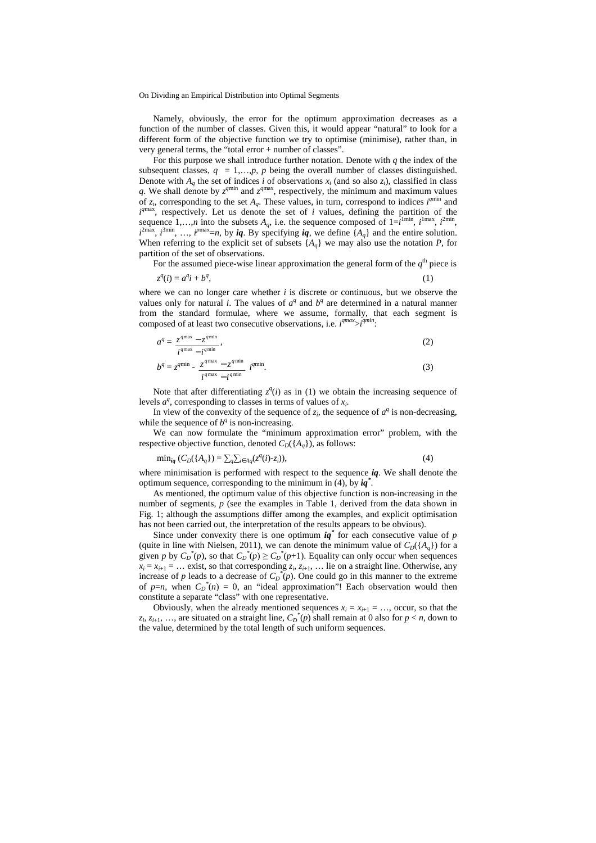Namely, obviously, the error for the optimum approximation decreases as a function of the number of classes. Given this, it would appear "natural" to look for a different form of the objective function we try to optimise (minimise), rather than, in very general terms, the "total error + number of classes".

For this purpose we shall introduce further notation. Denote with  $q$  the index of the subsequent classes,  $q = 1,...,p$ ,  $p$  being the overall number of classes distinguished. Denote with  $A_q$  the set of indices *i* of observations  $x_i$  (and so also  $z_i$ ), classified in class q. We shall denote by  $z^{qmin}$  and  $z^{qmax}$ , respectively, the minimum and maximum values of  $z_i$ , corresponding to the set  $A_q$ . These values, in turn, correspond to indices  $i^{qmin}$  and  $i^{qmax}$ *a* respectively. Let us denote the set of  $i$  values, defining the partition of the sequence 1,...,*n* into the subsets  $A_q$ , i.e. the sequence composed of  $1 = i^{\text{I}}$ <sup>lmin</sup>,  $i^{\text{I}}$ <sup>max</sup>,  $i^{\text{2min}}$ ,  $i^{2\text{max}}$ ,  $i^{3\text{min}}$ , ...,  $i^{p\text{max}}=n$ , by *iq*. By specifying *iq*, we define  $\{A_q\}$  and the entire solution. When referring to the explicit set of subsets  $\{A_q\}$  we may also use the notation *P*, for partition of the set of observations.

For the assumed piece-wise linear approximation the general form of the  $q<sup>th</sup>$  piece is

$$
z^q(i) = a^q i + b^q,\tag{1}
$$

where we can no longer care whether *i* is discrete or continuous, but we observe the values only for natural *i*. The values of  $a^q$  and  $b^q$  are determined in a natural manner from the standard formulae, where we assume, formally, that each segment is composed of at least two consecutive observations, i.e.  $i^{qmax} > i^{qmin}$ .

$$
a^q = \frac{z^{q\max} - z^{q\min}}{i^{q\max} - i^{q\min}},
$$
\n(2)

$$
b^{q} = z^{q\min} - \frac{z^{q\max} - z^{q\min}}{i^{q\max} - i^{q\min}} i^{q\min}.
$$
 (3)

Note that after differentiating  $z^q(i)$  as in (1) we obtain the increasing sequence of levels  $a^q$ , corresponding to classes in terms of values of  $x_i$ .

In view of the convexity of the sequence of  $z_i$ , the sequence of  $a^q$  is non-decreasing, while the sequence of  $b^q$  is non-increasing.

We can now formulate the "minimum approximation error" problem, with the respective objective function, denoted  $C_D({A_q})$ , as follows:

$$
\min_{\mathbf{i}q} \left( C_D(\{ A_q \}) = \sum_{q} \sum_{i \in A_q} (z^q(i) - z_i) \right),\tag{4}
$$

where minimisation is performed with respect to the sequence *iq*. We shall denote the optimum sequence, corresponding to the minimum in (4), by *iq\** .

As mentioned, the optimum value of this objective function is non-increasing in the number of segments, *p* (see the examples in Table 1, derived from the data shown in Fig. 1; although the assumptions differ among the examples, and explicit optimisation has not been carried out, the interpretation of the results appears to be obvious).

Since under convexity there is one optimum  $iq^*$  for each consecutive value of  $p$ (quite in line with Nielsen, 2011), we can denote the minimum value of  $C_D({A_a})$  for a given *p* by  $C_D^*(p)$ , so that  $C_D^*(p) \ge C_D^*(p+1)$ . Equality can only occur when sequences  $x_i = x_{i+1} = \ldots$  exist, so that corresponding  $z_i$ ,  $z_{i+1}$ ,  $\ldots$  lie on a straight line. Otherwise, any increase of *p* leads to a decrease of  $C_D^*(p)$ . One could go in this manner to the extreme of  $p=n$ , when  $C_D^*(n) = 0$ , an "ideal approximation"! Each observation would then constitute a separate "class" with one representative.

Obviously, when the already mentioned sequences  $x_i = x_{i+1} = \ldots$ , occur, so that the  $z_i$ ,  $z_{i+1}$ , ..., are situated on a straight line,  $C_D^*(p)$  shall remain at 0 also for  $p < n$ , down to the value, determined by the total length of such uniform sequences.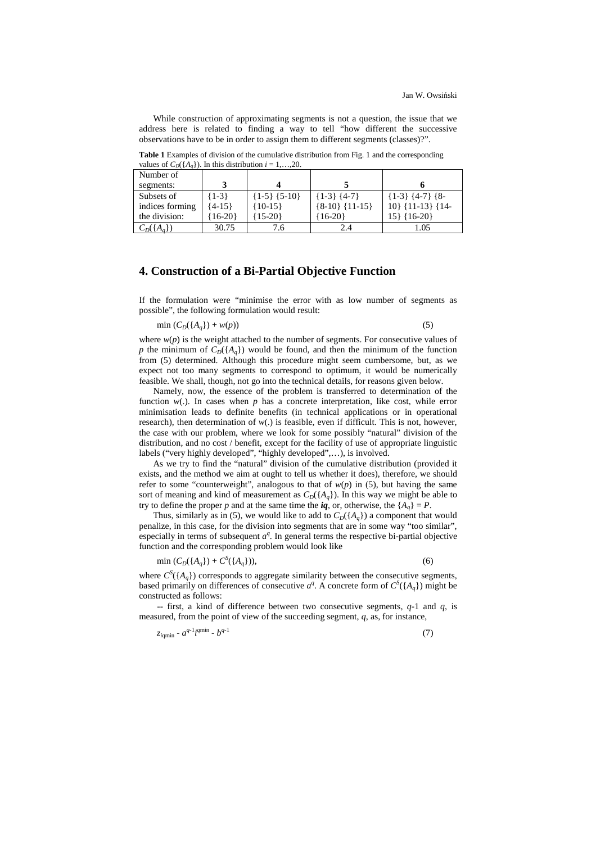While construction of approximating segments is not a question, the issue that we address here is related to finding a way to tell "how different the successive observations have to be in order to assign them to different segments (classes)?".

| Number of                  |            |                      |                  |                            |
|----------------------------|------------|----------------------|------------------|----------------------------|
| segments:                  |            |                      |                  |                            |
| Subsets of                 | ${1-3}$    | $\{1-5\}$ $\{5-10\}$ | ${1-3}$ ${4-7}$  | $\{1-3\}$ $\{4-7\}$ $\{8-$ |
| indices forming            | $\{4-15\}$ | ${10-15}$            | ${8-10}$ {11-15} | $10\}$ {11-13} {14-        |
| the division:              | $16-20$    | $15-20$              | ${16-20}$        | $15$ } {16-20}             |
| $C_D(\lbrace A_a \rbrace)$ | 30.75      |                      | 2.4              | 1.05                       |

**Table 1** Examples of division of the cumulative distribution from Fig. 1 and the corresponding values of  $C_p({\hat{A}}|{\lambda})$ . In this distribution  $i-1$ ,

#### **4. Construction of a Bi-Partial Objective Function**

If the formulation were "minimise the error with as low number of segments as possible", the following formulation would result:

$$
\min\left(C_D(\{A_q\}) + w(p)\right) \tag{5}
$$

where  $w(p)$  is the weight attached to the number of segments. For consecutive values of *p* the minimum of  $C_D({A_q})$  would be found, and then the minimum of the function from (5) determined. Although this procedure might seem cumbersome, but, as we expect not too many segments to correspond to optimum, it would be numerically feasible. We shall, though, not go into the technical details, for reasons given below.

Namely, now, the essence of the problem is transferred to determination of the function  $w(.)$ . In cases when *p* has a concrete interpretation, like cost, while error minimisation leads to definite benefits (in technical applications or in operational research), then determination of *w*(.) is feasible, even if difficult. This is not, however, the case with our problem, where we look for some possibly "natural" division of the distribution, and no cost / benefit, except for the facility of use of appropriate linguistic labels ("very highly developed", "highly developed",…), is involved.

As we try to find the "natural" division of the cumulative distribution (provided it exists, and the method we aim at ought to tell us whether it does), therefore, we should refer to some "counterweight", analogous to that of  $w(p)$  in (5), but having the same sort of meaning and kind of measurement as  $C_D({A_q})$ . In this way we might be able to try to define the proper *p* and at the same time the  $iq$ , or, otherwise, the  ${A<sub>a</sub>} = P$ .

Thus, similarly as in (5), we would like to add to  $C_D({A_q})$  a component that would penalize, in this case, for the division into segments that are in some way "too similar", especially in terms of subsequent  $a^q$ . In general terms the respective bi-partial objective function and the corresponding problem would look like

$$
\min (C_D(\{A_q\}) + C^S(\{A_q\})), \tag{6}
$$

where  $C^{S}(\lbrace A_{q}\rbrace)$  corresponds to aggregate similarity between the consecutive segments, based primarily on differences of consecutive  $a^q$ . A concrete form of  $C^s(\lbrace A_q \rbrace)$  might be constructed as follows:

-- first, a kind of difference between two consecutive segments, *q*-1 and *q*, is measured, from the point of view of the succeeding segment, *q*, as, for instance,

$$
z_{iqmin} - a^{q-1} i^{qmin} - b^{q-1} \tag{7}
$$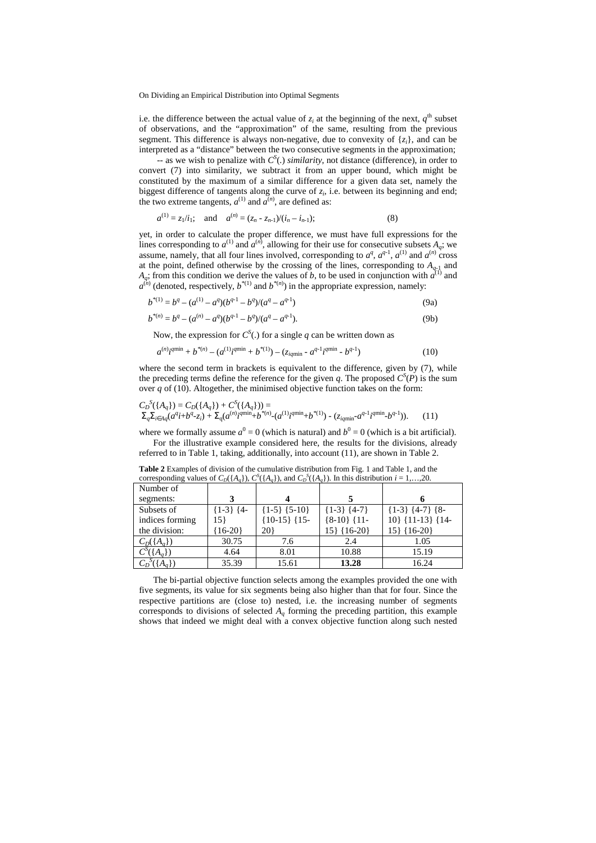i.e. the difference between the actual value of  $z_i$  at the beginning of the next,  $q^{\text{th}}$  subset of observations, and the "approximation" of the same, resulting from the previous segment. This difference is always non-negative, due to convexity of  $\{z_i\}$ , and can be interpreted as a "distance" between the two consecutive segments in the approximation;

 $S<sub>1</sub>$  as we wish to penalize with  $C<sup>S</sup>(.)$  *similarity*, not distance (difference), in order to convert (7) into similarity, we subtract it from an upper bound, which might be constituted by the maximum of a similar difference for a given data set, namely the biggest difference of tangents along the curve of  $z_i$ , i.e. between its beginning and end; the two extreme tangents,  $a^{(1)}$  and  $a^{(n)}$ , are defined as:

$$
a^{(1)} = z_1/i_1;
$$
 and  $a^{(n)} = (z_n - z_{n-1})/(i_n - i_{n-1});$  (8)

yet, in order to calculate the proper difference, we must have full expressions for the lines corresponding to  $a^{(1)}$  and  $a^{(n)}$ , allowing for their use for consecutive subsets  $A_q$ ; we assume, namely, that all four lines involved, corresponding to  $a^q$ ,  $a^{q-1}$ ,  $a^{(1)}$  and  $a^{(n)}$  cross at the point, defined otherwise by the crossing of the lines, corresponding to  $A_{q-1}$  and  $A_q$ ; from this condition we derive the values of *b*, to be used in conjunction with  $a^{(1)}$  and  $a^{(n)}$  (denoted, respectively,  $b^{*(1)}$  and  $b^{*(n)}$ ) in the appropriate expression, namely:

$$
b^{*(1)} = b^q - (a^{(1)} - a^q)(b^{q-1} - b^q)/(a^q - a^{q-1})
$$
\n(9a)

$$
b^{*(n)} = b^q - (a^{(n)} - a^q)(b^{q-1} - b^q)/(a^q - a^{q-1}).
$$
\n(9b)

Now, the expression for  $C^S(.)$  for a single q can be written down as

$$
a^{(n)} i^{q \min} + b^{*(n)} - (a^{(1)} i^{q \min} + b^{*(1)}) - (z_{iq \min} - a^{q-1} i^{q \min} - b^{q-1})
$$
\n(10)

where the second term in brackets is equivalent to the difference, given by  $(7)$ , while the preceding terms define the reference for the given *q*. The proposed  $C^{S}(P)$  is the sum over *q* of (10). Altogether, the minimised objective function takes on the form:

$$
C_D^S(\{A_q\}) = C_D(\{A_q\}) + C^S(\{A_q\}) = \n\sum_{q \geq 0} \sum_{i \in A_q} (a^q i + b^q z_i) + \sum_{q \geq 0} (a^{(n)} i^{q \text{min}} + b^{*(n)} (a^{(1)} i^{q \text{min}} + b^{*(1)}) - (z_{iq \text{min}} - a^{q-1} i^{q \text{min}} - b^{q-1})).
$$
\n(11)

where we formally assume  $a^0 = 0$  (which is natural) and  $b^0 = 0$  (which is a bit artificial). For the illustrative example considered here, the results for the divisions, already

referred to in Table 1, taking, additionally, into account (11), are shown in Table 2.

| corresponding values of $C_{D(1, \alpha_{d})}$ , $C_{(1, \alpha_{d})}$ , and $C_{D(1, \alpha_{d})}$ . In this distribution $t = 1, \ldots, 20$ . |                  |                      |                     |                   |  |  |
|--------------------------------------------------------------------------------------------------------------------------------------------------|------------------|----------------------|---------------------|-------------------|--|--|
| Number of                                                                                                                                        |                  |                      |                     |                   |  |  |
| segments:                                                                                                                                        | 3                |                      |                     |                   |  |  |
| Subsets of                                                                                                                                       | $\{1-3\}$ $\{4-$ | $\{1-5\}$ $\{5-10\}$ | $\{1-3\}$ $\{4-7\}$ | ${1-3} {4-7} {8-$ |  |  |
| indices forming                                                                                                                                  | 15}              | ${10-15}$ {15-       | ${8-10}$ {11-       | 10} {11-13} {14-  |  |  |
| the division:                                                                                                                                    | $16-20$          | 20)                  | $15\}$ {16-20}      | $15\}$ {16-20}    |  |  |
| $C_D({A_q})$                                                                                                                                     | 30.75            | 7.6                  | 2.4                 | 1.05              |  |  |
| $C^{S}(\lbrace A_{q}\rbrace)$                                                                                                                    | 4.64             | 8.01                 | 10.88               | 15.19             |  |  |
|                                                                                                                                                  | 35.39            | 15.61                | 13.28               | 16.24             |  |  |

**Table 2** Examples of division of the cumulative distribution from Fig. 1 and Table 1, and the corresponding values of  $C_D(\lbrace A_q \rbrace)$ ,  $C^s(\lbrace A_q \rbrace)$ , and  $C_D^s(\lbrace A_q \rbrace)$ . In this distribution  $i = 1,...,20$ .

The bi-partial objective function selects among the examples provided the one with five segments, its value for six segments being also higher than that for four. Since the respective partitions are (close to) nested, i.e. the increasing number of segments corresponds to divisions of selected  $A_q$  forming the preceding partition, this example shows that indeed we might deal with a convex objective function along such nested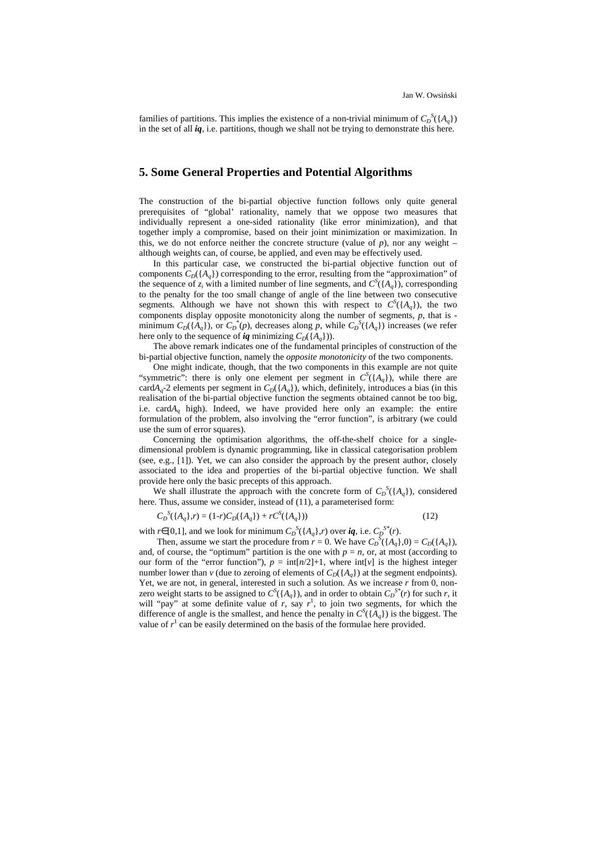families of partitions. This implies the existence of a non-trivial minimum of  $C_D^S({A_q})$ in the set of all *iq*, i.e. partitions, though we shall not be trying to demonstrate this here.

# **5. Some General Properties and Potential Algorithms**

The construction of the bi-partial objective function follows only quite general prerequisites of "global' rationality, namely that we oppose two measures that individually represent a one-sided rationality (like error minimization), and that together imply a compromise, based on their joint minimization or maximization. In this, we do not enforce neither the concrete structure (value of  $p$ ), nor any weight – although weights can, of course, be applied, and even may be effectively used.

In this particular case, we constructed the bi-partial objective function out of components  $C_D(\lbrace A_a \rbrace)$  corresponding to the error, resulting from the "approximation" of the sequence of  $z_i$  with a limited number of line segments, and  $C^s(\lbrace A_q \rbrace)$ , corresponding to the penalty for the too small change of angle of the line between two consecutive segments. Although we have not shown this with respect to  $C^{S}(\lbrace A_{q}\rbrace)$ , the two components display opposite monotonicity along the number of segments, *p*, that is minimum  $C_D({A_q})$ , or  $C_D^*(p)$ , decreases along *p*, while  $C_D^S({A_q})$  increases (we refer here only to the sequence of *iq* minimizing  $C_D({A_q})$ ).

The above remark indicates one of the fundamental principles of construction of the bi-partial objective function, namely the *opposite monotonicity* of the two components.

One might indicate, though, that the two components in this example are not quite "symmetric": there is only one element per segment in  $C^{S}(\lbrace A_{q}\rbrace)$ , while there are card $A_q$ -2 elements per segment in  $C_D(\lbrace A_q \rbrace)$ , which, definitely, introduces a bias (in this realisation of the bi-partial objective function the segments obtained cannot be too big, i.e. card*A<sup>q</sup>* high). Indeed, we have provided here only an example: the entire formulation of the problem, also involving the "error function", is arbitrary (we could use the sum of error squares).

Concerning the optimisation algorithms, the off-the-shelf choice for a singledimensional problem is dynamic programming, like in classical categorisation problem (see, e.g., [1]). Yet, we can also consider the approach by the present author, closely associated to the idea and properties of the bi-partial objective function. We shall provide here only the basic precepts of this approach.

We shall illustrate the approach with the concrete form of  $C_D^S({A_q})$ , considered here. Thus, assume we consider, instead of (11), a parameterised form:

$$
C_D^{S}(\{A_q\},r) = (1-r)C_D(\{A_q\}) + rC^S(\{A_q\}))
$$
\n(12)

with *r*∈[0,1], and we look for minimum  $C_D^S(\lbrace A_q \rbrace, r)$  over  $iq$ , i.e.  $C_D^{S^*}(r)$ .

Then, assume we start the procedure from  $r = 0$ . We have  $C_D^S({A_q},0) = C_D({A_q})$ , and, of course, the "optimum" partition is the one with  $p = n$ , or, at most (according to our form of the "error function"),  $p = \text{int}[n/2]+1$ , where  $\text{int}[v]$  is the highest integer number lower than *v* (due to zeroing of elements of  $C_D({A_a})$ ) at the segment endpoints). Yet, we are not, in general, interested in such a solution. As we increase *r* from 0, nonzero weight starts to be assigned to  $C^{S}(\lbrace A_{q} \rbrace)$ , and in order to obtain  $C_{D}^{S^{*}}(r)$  for such *r*, it will "pay" at some definite value of  $r$ , say  $r<sup>1</sup>$ , to join two segments, for which the difference of angle is the smallest, and hence the penalty in  $C^{S}(\lbrace A_{q}\rbrace)$  is the biggest. The value of  $r<sup>1</sup>$  can be easily determined on the basis of the formulae here provided.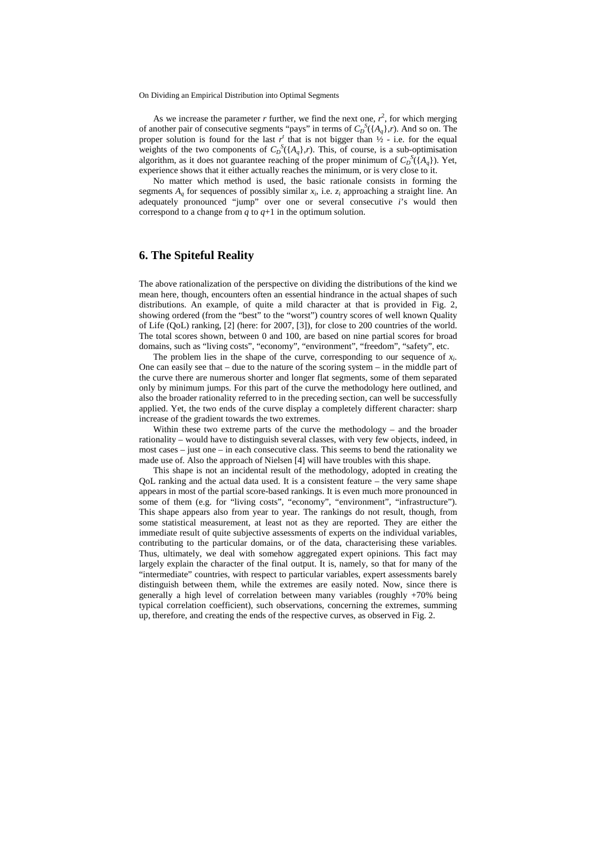As we increase the parameter  $r$  further, we find the next one,  $r^2$ , for which merging of another pair of consecutive segments "pays" in terms of  $C_D^S(\lbrace A_q \rbrace, r)$ . And so on. The proper solution is found for the last  $r^t$  that is not bigger than  $\frac{1}{2}$  - i.e. for the equal weights of the two components of  $C_D^S({A_q}, r)$ . This, of course, is a sub-optimisation algorithm, as it does not guarantee reaching of the proper minimum of  $C_D^{\{S\}}(A_q)$ ). Yet, experience shows that it either actually reaches the minimum, or is very close to it.

No matter which method is used, the basic rationale consists in forming the segments  $A_q$  for sequences of possibly similar  $x_i$ , i.e.  $z_i$  approaching a straight line. An adequately pronounced "jump" over one or several consecutive *i*'s would then correspond to a change from  $q$  to  $q+1$  in the optimum solution.

#### **6. The Spiteful Reality**

The above rationalization of the perspective on dividing the distributions of the kind we mean here, though, encounters often an essential hindrance in the actual shapes of such distributions. An example, of quite a mild character at that is provided in Fig. 2, showing ordered (from the "best" to the "worst") country scores of well known Quality of Life (QoL) ranking, [2] (here: for 2007, [3]), for close to 200 countries of the world. The total scores shown, between 0 and 100, are based on nine partial scores for broad domains, such as "living costs", "economy", "environment", "freedom", "safety", etc.

The problem lies in the shape of the curve, corresponding to our sequence of  $x_i$ . One can easily see that – due to the nature of the scoring system – in the middle part of the curve there are numerous shorter and longer flat segments, some of them separated only by minimum jumps. For this part of the curve the methodology here outlined, and also the broader rationality referred to in the preceding section, can well be successfully applied. Yet, the two ends of the curve display a completely different character: sharp increase of the gradient towards the two extremes.

Within these two extreme parts of the curve the methodology – and the broader rationality – would have to distinguish several classes, with very few objects, indeed, in most cases – just one – in each consecutive class. This seems to bend the rationality we made use of. Also the approach of Nielsen [4] will have troubles with this shape.

This shape is not an incidental result of the methodology, adopted in creating the QoL ranking and the actual data used. It is a consistent feature – the very same shape appears in most of the partial score-based rankings. It is even much more pronounced in some of them (e.g. for "living costs", "economy", "environment", "infrastructure"). This shape appears also from year to year. The rankings do not result, though, from some statistical measurement, at least not as they are reported. They are either the immediate result of quite subjective assessments of experts on the individual variables, contributing to the particular domains, or of the data, characterising these variables. Thus, ultimately, we deal with somehow aggregated expert opinions. This fact may largely explain the character of the final output. It is, namely, so that for many of the "intermediate" countries, with respect to particular variables, expert assessments barely distinguish between them, while the extremes are easily noted. Now, since there is generally a high level of correlation between many variables (roughly +70% being typical correlation coefficient), such observations, concerning the extremes, summing up, therefore, and creating the ends of the respective curves, as observed in Fig. 2.